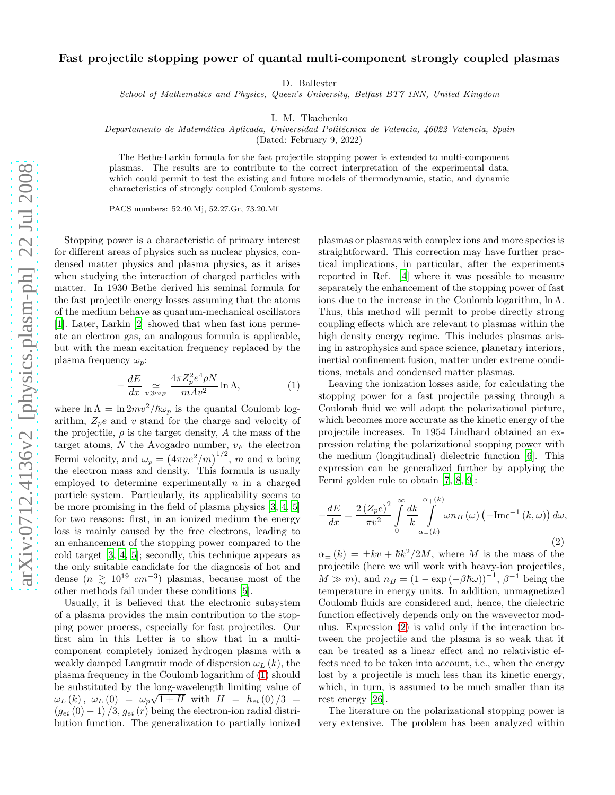## Fast projectile stopping power of quantal multi-component strongly coupled plasmas

D. Ballester

School of Mathematics and Physics, Queen's University, Belfast BT7 1NN, United Kingdom

I. M. Tkachenko

Departamento de Matemática Aplicada, Universidad Politécnica de Valencia, 46022 Valencia, Spain

(Dated: February 9, 2022)

The Bethe-Larkin formula for the fast projectile stopping power is extended to multi-component plasmas. The results are to contribute to the correct interpretation of the experimental data, which could permit to test the existing and future models of thermodynamic, static, and dynamic characteristics of strongly coupled Coulomb systems.

PACS numbers: 52.40.Mj, 52.27.Gr, 73.20.Mf

Stopping power is a characteristic of primary interest for different areas of physics such as nuclear physics, condensed matter physics and plasma physics, as it arises when studying the interaction of charged particles with matter. In 1930 Bethe derived his seminal formula for the fast projectile energy losses assuming that the atoms of the medium behave as quantum-mechanical oscillators [\[1\]](#page-3-0). Later, Larkin [\[2\]](#page-3-1) showed that when fast ions permeate an electron gas, an analogous formula is applicable, but with the mean excitation frequency replaced by the plasma frequency  $\omega_p$ :

<span id="page-0-0"></span>
$$
-\frac{dE}{dx} \sum_{v \gg v_F} \frac{4\pi Z_p^2 e^4 \rho N}{m A v^2} \ln \Lambda,\tag{1}
$$

where  $\ln \Lambda = \ln 2mv^2/\hbar\omega_p$  is the quantal Coulomb logarithm,  $Z_p e$  and v stand for the charge and velocity of the projectile,  $\rho$  is the target density, A the mass of the target atoms,  $N$  the Avogadro number,  $v_F$  the electron Fermi velocity, and  $\omega_p = (4\pi n e^2/m)^{1/2}$ , m and n being the electron mass and density. This formula is usually employed to determine experimentally  $n$  in a charged particle system. Particularly, its applicability seems to be more promising in the field of plasma physics [\[3,](#page-3-2) [4](#page-3-3), [5](#page-3-4)] for two reasons: first, in an ionized medium the energy loss is mainly caused by the free electrons, leading to an enhancement of the stopping power compared to the cold target [\[3,](#page-3-2) [4](#page-3-3), [5\]](#page-3-4); secondly, this technique appears as the only suitable candidate for the diagnosis of hot and dense  $(n \geq 10^{19} \text{ cm}^{-3})$  plasmas, because most of the other methods fail under these conditions [\[5](#page-3-4)].

Usually, it is believed that the electronic subsystem of a plasma provides the main contribution to the stopping power process, especially for fast projectiles. Our first aim in this Letter is to show that in a multicomponent completely ionized hydrogen plasma with a weakly damped Langmuir mode of dispersion  $\omega_L (k)$ , the plasma frequency in the Coulomb logarithm of [\(1\)](#page-0-0) should be substituted by the long-wavelength limiting value of  $\omega_L(k)$ ,  $\omega_L(0) = \omega_p \sqrt{1 + H}$  with  $H = h_{ei}(0)/3 =$  $(g_{ei} (0) - 1) / 3$ ,  $g_{ei} (r)$  being the electron-ion radial distribution function. The generalization to partially ionized

plasmas or plasmas with complex ions and more species is straightforward. This correction may have further practical implications, in particular, after the experiments reported in Ref. [\[4](#page-3-3)] where it was possible to measure separately the enhancement of the stopping power of fast ions due to the increase in the Coulomb logarithm,  $\ln \Lambda$ . Thus, this method will permit to probe directly strong coupling effects which are relevant to plasmas within the high density energy regime. This includes plasmas arising in astrophysics and space science, planetary interiors, inertial confinement fusion, matter under extreme conditions, metals and condensed matter plasmas.

Leaving the ionization losses aside, for calculating the stopping power for a fast projectile passing through a Coulomb fluid we will adopt the polarizational picture, which becomes more accurate as the kinetic energy of the projectile increases. In 1954 Lindhard obtained an expression relating the polarizational stopping power with the medium (longitudinal) dielectric function [\[6\]](#page-3-5). This expression can be generalized further by applying the Fermi golden rule to obtain [\[7,](#page-3-6) [8,](#page-3-7) [9\]](#page-3-8):

<span id="page-0-1"></span>
$$
-\frac{dE}{dx} = \frac{2\left(Z_p e\right)^2}{\pi v^2} \int_0^\infty \frac{dk}{k} \int_{\alpha - (k)}^{\alpha + (k)} \omega n_B\left(\omega\right) \left(-\text{Im} \epsilon^{-1}\left(k, \omega\right)\right) d\omega,
$$
\n(2)

 $\alpha_{\pm}(k) = \pm kv + \hbar k^2/2M$ , where M is the mass of the projectile (here we will work with heavy-ion projectiles,  $M \gg m$ , and  $n_B = (1 - \exp(-\beta \hbar \omega))^{-1}, \beta^{-1}$  being the temperature in energy units. In addition, unmagnetized Coulomb fluids are considered and, hence, the dielectric function effectively depends only on the wavevector modulus. Expression [\(2\)](#page-0-1) is valid only if the interaction between the projectile and the plasma is so weak that it can be treated as a linear effect and no relativistic effects need to be taken into account, i.e., when the energy lost by a projectile is much less than its kinetic energy, which, in turn, is assumed to be much smaller than its rest energy [\[26](#page-3-9)].

The literature on the polarizational stopping power is very extensive. The problem has been analyzed within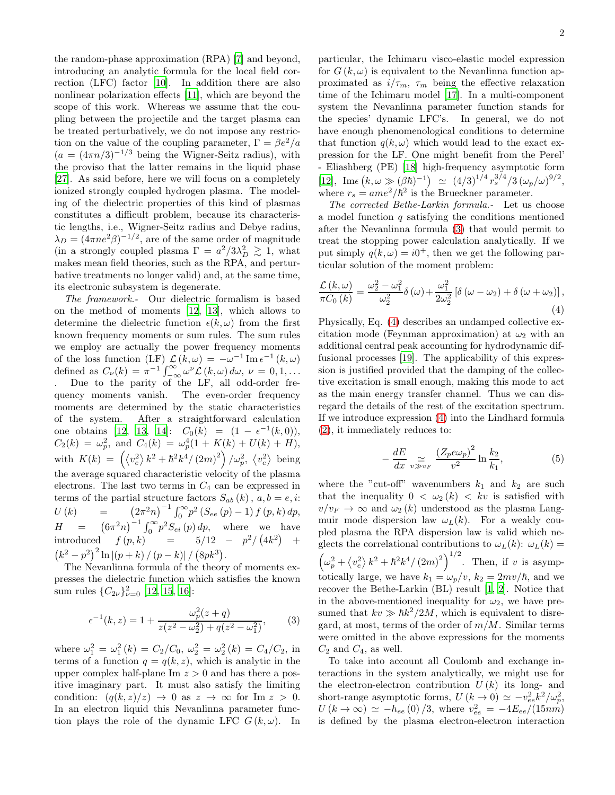the random-phase approximation (RPA) [\[7](#page-3-6)] and beyond, introducing an analytic formula for the local field correction (LFC) factor [\[10\]](#page-3-10). In addition there are also nonlinear polarization effects [\[11](#page-3-11)], which are beyond the scope of this work. Whereas we assume that the coupling between the projectile and the target plasma can be treated perturbatively, we do not impose any restriction on the value of the coupling parameter,  $\Gamma = \beta e^2/a$  $(a = (4\pi n/3)^{-1/3}$  being the Wigner-Seitz radius), with the proviso that the latter remains in the liquid phase [\[27\]](#page-3-12). As said before, here we will focus on a completely ionized strongly coupled hydrogen plasma. The modeling of the dielectric properties of this kind of plasmas constitutes a difficult problem, because its characteristic lengths, i.e., Wigner-Seitz radius and Debye radius,  $\lambda_D = (4\pi n e^2 \beta)^{-1/2}$ , are of the same order of magnitude (in a strongly coupled plasma  $\Gamma = a^2/3\lambda_D^2 \gtrsim 1$ , what makes mean field theories, such as the RPA, and perturbative treatments no longer valid) and, at the same time, its electronic subsystem is degenerate.

The framework.- Our dielectric formalism is based on the method of moments [\[12,](#page-3-13) [13\]](#page-3-14), which allows to determine the dielectric function  $\epsilon(k,\omega)$  from the first known frequency moments or sum rules. The sum rules we employ are actually the power frequency moments of the loss function  $(LF) \mathcal{L}(k,\omega) = -\omega^{-1} \text{Im} \epsilon^{-1}(k,\omega)$ defined as  $C_{\nu}(k) = \pi^{-1} \int_{-\infty}^{\infty} \omega^{\nu} L(k,\omega) d\omega, \nu = 0,1,...$ Due to the parity of the LF, all odd-order frequency moments vanish. The even-order frequency moments are determined by the static characteristics of the system. After a straightforward calculation one obtains [\[12,](#page-3-13) [13,](#page-3-14) [14\]](#page-3-15):  $C_0(k) = (1 - \epsilon^{-1}(k, 0)),$  $C_2(k) = \omega_p^2$ , and  $C_4(k) = \omega_p^4(1 + K(k) + U(k) + H)$ , with  $K(k) = \left(\langle v_e^2 \rangle k^2 + \hbar^2 k^4 / (2m)^2 \right) / \omega_p^2$ ,  $\langle v_e^2 \rangle$  being the average squared characteristic velocity of the plasma electrons. The last two terms in  $C_4$  can be expressed in terms of the partial structure factors  $S_{ab}(k)$ ,  $a, b = e, i$ :  $U(k)$  =  $(2\pi^2 n)^{-1} \int_0^\infty p^2 (S_{ee}(p) - 1) f(p, k) dp,$  $H = (6\pi^2 n)^{-1} \int_0^\infty p^2 S_{ei}(p) dp$ , where we have introduced  $f(p,k) = 5/12 - p^2/(4k^2) +$  $(k^2 - p^2)^2 \ln [(p + k)/(p - k)] / (8pk^3).$ 

The Nevanlinna formula of the theory of moments expresses the dielectric function which satisfies the known sum rules  $\{C_{2\nu}\}_{\nu=0}^2$  [\[12](#page-3-13), [15](#page-3-16), [16](#page-3-17)]:

<span id="page-1-0"></span>
$$
\epsilon^{-1}(k, z) = 1 + \frac{\omega_p^2(z + q)}{z(z^2 - \omega_2^2) + q(z^2 - \omega_1^2)},
$$
 (3)

where  $\omega_1^2 = \omega_1^2(k) = C_2/C_0$ ,  $\omega_2^2 = \omega_2^2(k) = C_4/C_2$ , in terms of a function  $q = q(k, z)$ , which is analytic in the upper complex half-plane Im  $z > 0$  and has there a positive imaginary part. It must also satisfy the limiting condition:  $(q(k, z)/z) \rightarrow 0$  as  $z \rightarrow \infty$  for Im  $z > 0$ . In an electron liquid this Nevanlinna parameter function plays the role of the dynamic LFC  $G(k, \omega)$ . In

particular, the Ichimaru visco-elastic model expression for  $G(k,\omega)$  is equivalent to the Nevanlinna function approximated as  $i/\tau_m$ ,  $\tau_m$  being the effective relaxation time of the Ichimaru model [\[17](#page-3-18)]. In a multi-component system the Nevanlinna parameter function stands for the species' dynamic LFC's. In general, we do not have enough phenomenological conditions to determine that function  $q(k, \omega)$  which would lead to the exact expression for the LF. One might benefit from the Perel' - Eliashberg (PE) [\[18\]](#page-3-19) high-frequency asymptotic form [\[12\]](#page-3-13), Im $\epsilon (k, \omega \gg (\beta \hbar)^{-1}) \simeq (4/3)^{1/4} r_s^{3/4} / 3 (\omega_p/\omega)^{9/2},$ where  $r_s = ame^2/\hbar^2$  is the Brueckner parameter.

The corrected Bethe-Larkin formula.- Let us choose a model function  $q$  satisfying the conditions mentioned after the Nevanlinna formula [\(3\)](#page-1-0) that would permit to treat the stopping power calculation analytically. If we put simply  $q(k,\omega) = i0^+$ , then we get the following particular solution of the moment problem:

<span id="page-1-1"></span>
$$
\frac{\mathcal{L}(k,\omega)}{\pi C_0(k)} = \frac{\omega_2^2 - \omega_1^2}{\omega_2^2} \delta(\omega) + \frac{\omega_1^2}{2\omega_2^2} \left[ \delta(\omega - \omega_2) + \delta(\omega + \omega_2) \right],\tag{4}
$$

Physically, Eq. [\(4\)](#page-1-1) describes an undamped collective excitation mode (Feynman approximation) at  $\omega_2$  with an additional central peak accounting for hydrodynamic diffusional processes [\[19\]](#page-3-20). The applicability of this expression is justified provided that the damping of the collective excitation is small enough, making this mode to act as the main energy transfer channel. Thus we can disregard the details of the rest of the excitation spectrum. If we introduce expression [\(4\)](#page-1-1) into the Lindhard formula [\(2\)](#page-0-1), it immediately reduces to:

$$
-\frac{dE}{dx}\sum_{v\gg v_F}\frac{\left(Z_p e\omega_p\right)^2}{v^2}\ln\frac{k_2}{k_1},\tag{5}
$$

where the "cut-off" wavenumbers  $k_1$  and  $k_2$  are such that the inequality  $0 < \omega_2(k) < k\upsilon$  is satisfied with  $v/v_F \to \infty$  and  $\omega_2(k)$  understood as the plasma Langmuir mode dispersion law  $\omega_L(k)$ . For a weakly coupled plasma the RPA dispersion law is valid which neglects the correlational contributions to  $\omega_L(k)$ :  $\omega_L(k)$  =  $\left(\omega_p^2 + \langle v_e^2 \rangle k^2 + \hbar^2 k^4 / (2m)^2 \right)^{1/2}$ . Then, if v is asymptotically large, we have  $k_1 = \omega_p/v$ ,  $k_2 = 2mv/\hbar$ , and we recover the Bethe-Larkin (BL) result [\[1](#page-3-0), [2\]](#page-3-1). Notice that in the above-mentioned inequality for  $\omega_2$ , we have presumed that  $kv \gg \hbar k^2/2M$ , which is equivalent to disregard, at most, terms of the order of  $m/M$ . Similar terms were omitted in the above expressions for the moments  $C_2$  and  $C_4$ , as well.

To take into account all Coulomb and exchange interactions in the system analytically, we might use for the electron-electron contribution  $U(k)$  its long- and short-range asymptotic forms,  $U(k \to 0) \simeq -v_{ee}^2 k^2/\omega_p^2$ ,  $U(k \to \infty) \simeq -h_{ee}(0)/3$ , where  $v_{ee}^2 = -4E_{ee}/(15nm)$ is defined by the plasma electron-electron interaction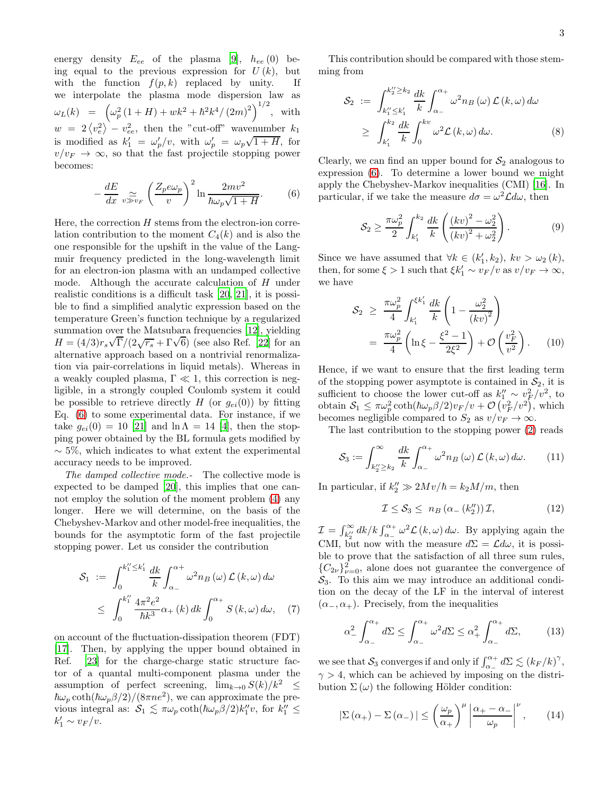energy density  $E_{ee}$  of the plasma [\[9](#page-3-8)],  $h_{ee}$  (0) being equal to the previous expression for  $U(k)$ , but with the function  $f(p, k)$  replaced by unity. If we interpolate the plasma mode dispersion law as  $\omega_L(k) = \left( \omega_p^2 (1+H) + w k^2 + \hbar^2 k^4 / (2m)^2 \right)^{1/2}$ , with  $w = 2 \langle v_e^2 \rangle - v_{ee}^2$ , then the "cut-off" wavenumber  $k_1$ is modified as  $k'_1 = \omega'_p/v$ , with  $\omega'_p = \omega_p\sqrt{1+H}$ , for  $v/v_F \rightarrow \infty$ , so that the fast projectile stopping power becomes:

<span id="page-2-0"></span>
$$
-\frac{dE}{dx}\sum_{v\gg v_F} \left(\frac{Z_p e\omega_p}{v}\right)^2 \ln \frac{2mv^2}{\hbar \omega_p \sqrt{1+H}}.\tag{6}
$$

Here, the correction  $H$  stems from the electron-ion correlation contribution to the moment  $C_4(k)$  and is also the one responsible for the upshift in the value of the Langmuir frequency predicted in the long-wavelength limit for an electron-ion plasma with an undamped collective mode. Although the accurate calculation of  $H$  under realistic conditions is a difficult task [\[20,](#page-3-21) [21](#page-3-22)], it is possible to find a simplified analytic expression based on the temperature Green's function technique by a regularized summation over the Matsubara frequencies [\[12\]](#page-3-13), yielding  $H = (4/3)r_s\sqrt{\Gamma}/(2\sqrt{r_s} + \Gamma\sqrt{6})$  (see also Ref. [\[22](#page-3-23)] for an alternative approach based on a nontrivial renormalization via pair-correlations in liquid metals). Whereas in a weakly coupled plasma,  $\Gamma \ll 1$ , this correction is negligible, in a strongly coupled Coulomb system it could be possible to retrieve directly H (or  $g_{ei}(0)$ ) by fitting Eq. [\(6\)](#page-2-0) to some experimental data. For instance, if we take  $g_{ei}(0) = 10$  [\[21\]](#page-3-22) and  $\ln \Lambda = 14$  [\[4\]](#page-3-3), then the stopping power obtained by the BL formula gets modified by  $\sim$  5%, which indicates to what extent the experimental accuracy needs to be improved.

The damped collective mode.- The collective mode is expected to be damped [\[20\]](#page-3-21), this implies that one cannot employ the solution of the moment problem [\(4\)](#page-1-1) any longer. Here we will determine, on the basis of the Chebyshev-Markov and other model-free inequalities, the bounds for the asymptotic form of the fast projectile stopping power. Let us consider the contribution

$$
\mathcal{S}_{1} := \int_{0}^{k_{1}^{\prime\prime} \leq k_{1}^{\prime}} \frac{dk}{k} \int_{\alpha_{-}}^{\alpha_{+}} \omega^{2} n_{B}(\omega) \mathcal{L}(k, \omega) d\omega
$$
  

$$
\leq \int_{0}^{k_{1}^{\prime\prime}} \frac{4\pi^{2} e^{2}}{\hbar k^{3}} \alpha_{+}(k) dk \int_{0}^{\alpha_{+}} S(k, \omega) d\omega, \quad (7)
$$

on account of the fluctuation-dissipation theorem (FDT) [\[17\]](#page-3-18). Then, by applying the upper bound obtained in Ref. [\[23\]](#page-3-24) for the charge-charge static structure factor of a quantal multi-component plasma under the assumption of perfect screening,  $\lim_{k\to 0} S(k)/k^2 \leq$  $\hbar\omega_p \coth(\hbar\omega_p\beta/2)/(8\pi n e^2)$ , we can approximate the previous integral as:  $S_1 \lesssim \pi \omega_p \coth(\hbar \omega_p \beta/2) k_1'' v$ , for  $k_1'' \leq$  $k'_1 \sim v_F/v.$ 

This contribution should be compared with those stemming from

$$
\mathcal{S}_2 := \int_{k_1'' \le k_1'}^{k_2'' \ge k_2} \frac{dk}{k} \int_{\alpha_-}^{\alpha_+} \omega^2 n_B(\omega) \mathcal{L}(k, \omega) d\omega
$$
  
 
$$
\ge \int_{k_1'}^{k_2} \frac{dk}{k} \int_0^{k v} \omega^2 \mathcal{L}(k, \omega) d\omega.
$$
 (8)

Clearly, we can find an upper bound for  $S_2$  analogous to expression [\(6\)](#page-2-0). To determine a lower bound we might apply the Chebyshev-Markov inequalities (CMI) [\[16](#page-3-17)]. In particular, if we take the measure  $d\sigma = \omega^2 \mathcal{L} d\omega$ , then

$$
S_2 \ge \frac{\pi \omega_p^2}{2} \int_{k_1'}^{k_2} \frac{dk}{k} \left( \frac{(kv)^2 - \omega_2^2}{(kv)^2 + \omega_2^2} \right). \tag{9}
$$

Since we have assumed that  $\forall k \in (k'_1, k_2), \; kv > \omega_2(k),$ then, for some  $\xi > 1$  such that  $\xi k'_1 \sim v_F/v$  as  $v/v_F \to \infty$ , we have

$$
\mathcal{S}_2 \geq \frac{\pi \omega_p^2}{4} \int_{k'_1}^{\xi k'_1} \frac{dk}{k} \left( 1 - \frac{\omega_2^2}{(kv)^2} \right)
$$
  
= 
$$
\frac{\pi \omega_p^2}{4} \left( \ln \xi - \frac{\xi^2 - 1}{2\xi^2} \right) + \mathcal{O}\left(\frac{v_F^2}{v^2}\right).
$$
 (10)

Hence, if we want to ensure that the first leading term of the stopping power asymptote is contained in  $S_2$ , it is sufficient to choose the lower cut-off as  $k_1'' \sim v_F^2/v^2$ , to obtain  $S_1 \n\t\leq \pi \omega_p^2 \coth(\hbar \omega_p \beta/2) v_F/v + \mathcal{O}\left(v_F^2/v^2\right)$ , which becomes negligible compared to  $S_2$  as  $v/v_F \to \infty$ .

The last contribution to the stopping power [\(2\)](#page-0-1) reads

$$
S_3 := \int_{k_2'' \ge k_2}^{\infty} \frac{dk}{k} \int_{\alpha_-}^{\alpha_+} \omega^2 n_B(\omega) \mathcal{L}(k, \omega) d\omega.
$$
 (11)

In particular, if  $k_2'' \gg 2Mv/\hbar = k_2M/m$ , then

$$
\mathcal{I} \leq \mathcal{S}_3 \leq n_B \left( \alpha_-\left(k_2''\right) \right) \mathcal{I},\tag{12}
$$

 $\mathcal{I} = \int_{k_2^{\prime\prime}}^{\infty} dk / k \int_{\alpha_-}^{\alpha_+} \omega^2 \mathcal{L}(k, \omega) d\omega$ . By applying again the CMI, but now with the measure  $d\Sigma = \mathcal{L}d\omega$ , it is possible to prove that the satisfaction of all three sum rules,  ${C_{2\nu}}_{\nu=0}^2$ , alone does not guarantee the convergence of  $S_3$ . To this aim we may introduce an additional condition on the decay of the LF in the interval of interest  $(\alpha_-, \alpha_+)$ . Precisely, from the inequalities

$$
\alpha_-^2 \int_{\alpha_-}^{\alpha_+} d\Sigma \le \int_{\alpha_-}^{\alpha_+} \omega^2 d\Sigma \le \alpha_+^2 \int_{\alpha_-}^{\alpha_+} d\Sigma, \qquad (13)
$$

we see that  $S_3$  converges if and only if  $\int_{\alpha_-}^{\alpha_+} d\Sigma \lesssim (k_F / k)^\gamma$ ,  $\gamma > 4$ , which can be achieved by imposing on the distribution  $\Sigma(\omega)$  the following Hölder condition:

<span id="page-2-1"></span>
$$
\left|\Sigma\left(\alpha_{+}\right)-\Sigma\left(\alpha_{-}\right)\right| \leq \left(\frac{\omega_{p}}{\alpha_{+}}\right)^{\mu} \left|\frac{\alpha_{+}-\alpha_{-}}{\omega_{p}}\right|^{\nu},\qquad(14)
$$